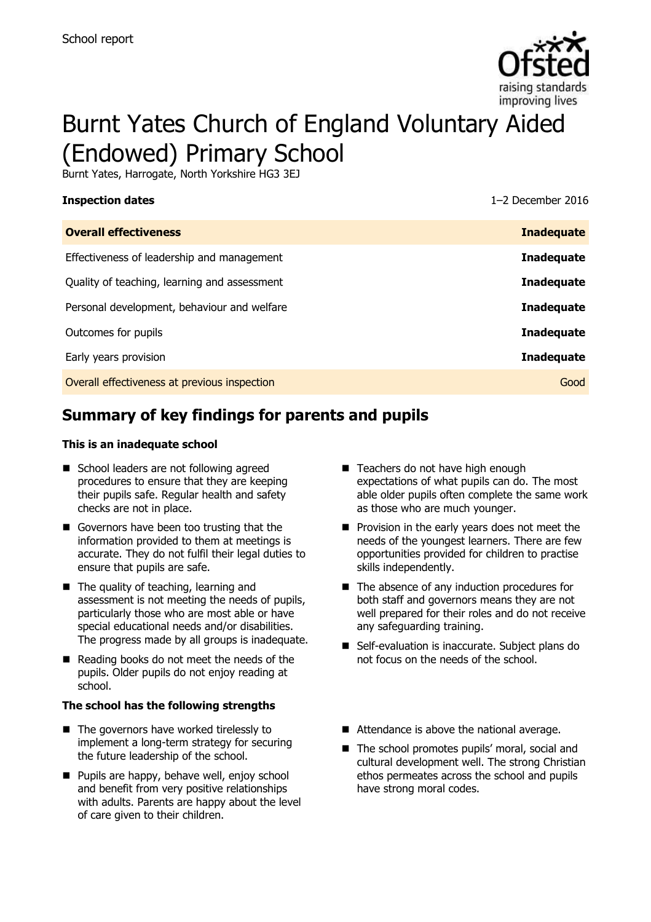

# Burnt Yates Church of England Voluntary Aided (Endowed) Primary School

Burnt Yates, Harrogate, North Yorkshire HG3 3EJ

# **Inspection dates** 1–2 December 2016 **Overall effectiveness Inadequate** Effectiveness of leadership and management **Inadequate** Quality of teaching, learning and assessment **Inadequate** Personal development, behaviour and welfare **Inadequate** Outcomes for pupils **Inadequate** Early years provision **Inadequate** Overall effectiveness at previous inspection Good

# **Summary of key findings for parents and pupils**

### **This is an inadequate school**

- School leaders are not following agreed procedures to ensure that they are keeping their pupils safe. Regular health and safety checks are not in place.
- Governors have been too trusting that the information provided to them at meetings is accurate. They do not fulfil their legal duties to ensure that pupils are safe.
- The quality of teaching, learning and assessment is not meeting the needs of pupils, particularly those who are most able or have special educational needs and/or disabilities. The progress made by all groups is inadequate.
- Reading books do not meet the needs of the pupils. Older pupils do not enjoy reading at school.

### **The school has the following strengths**

- The governors have worked tirelessly to implement a long-term strategy for securing the future leadership of the school.
- Pupils are happy, behave well, enjoy school and benefit from very positive relationships with adults. Parents are happy about the level of care given to their children.
- Teachers do not have high enough expectations of what pupils can do. The most able older pupils often complete the same work as those who are much younger.
- **Provision in the early years does not meet the** needs of the youngest learners. There are few opportunities provided for children to practise skills independently.
- $\blacksquare$  The absence of any induction procedures for both staff and governors means they are not well prepared for their roles and do not receive any safeguarding training.
- Self-evaluation is inaccurate. Subject plans do not focus on the needs of the school.
- Attendance is above the national average.
- The school promotes pupils' moral, social and cultural development well. The strong Christian ethos permeates across the school and pupils have strong moral codes.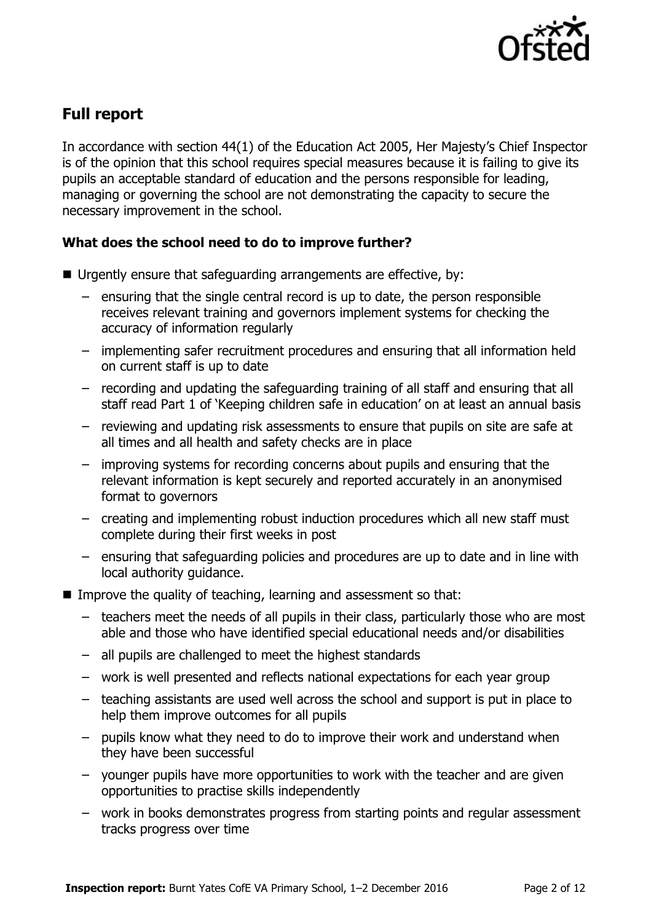

# **Full report**

In accordance with section 44(1) of the Education Act 2005, Her Majesty's Chief Inspector is of the opinion that this school requires special measures because it is failing to give its pupils an acceptable standard of education and the persons responsible for leading, managing or governing the school are not demonstrating the capacity to secure the necessary improvement in the school.

### **What does the school need to do to improve further?**

- Urgently ensure that safeguarding arrangements are effective, by:
	- ensuring that the single central record is up to date, the person responsible receives relevant training and governors implement systems for checking the accuracy of information regularly
	- implementing safer recruitment procedures and ensuring that all information held on current staff is up to date
	- recording and updating the safeguarding training of all staff and ensuring that all staff read Part 1 of 'Keeping children safe in education' on at least an annual basis
	- reviewing and updating risk assessments to ensure that pupils on site are safe at all times and all health and safety checks are in place
	- improving systems for recording concerns about pupils and ensuring that the relevant information is kept securely and reported accurately in an anonymised format to governors
	- creating and implementing robust induction procedures which all new staff must complete during their first weeks in post
	- ensuring that safeguarding policies and procedures are up to date and in line with local authority guidance.
- Improve the quality of teaching, learning and assessment so that:
	- teachers meet the needs of all pupils in their class, particularly those who are most able and those who have identified special educational needs and/or disabilities
	- all pupils are challenged to meet the highest standards
	- work is well presented and reflects national expectations for each year group
	- teaching assistants are used well across the school and support is put in place to help them improve outcomes for all pupils
	- pupils know what they need to do to improve their work and understand when they have been successful
	- younger pupils have more opportunities to work with the teacher and are given opportunities to practise skills independently
	- work in books demonstrates progress from starting points and regular assessment tracks progress over time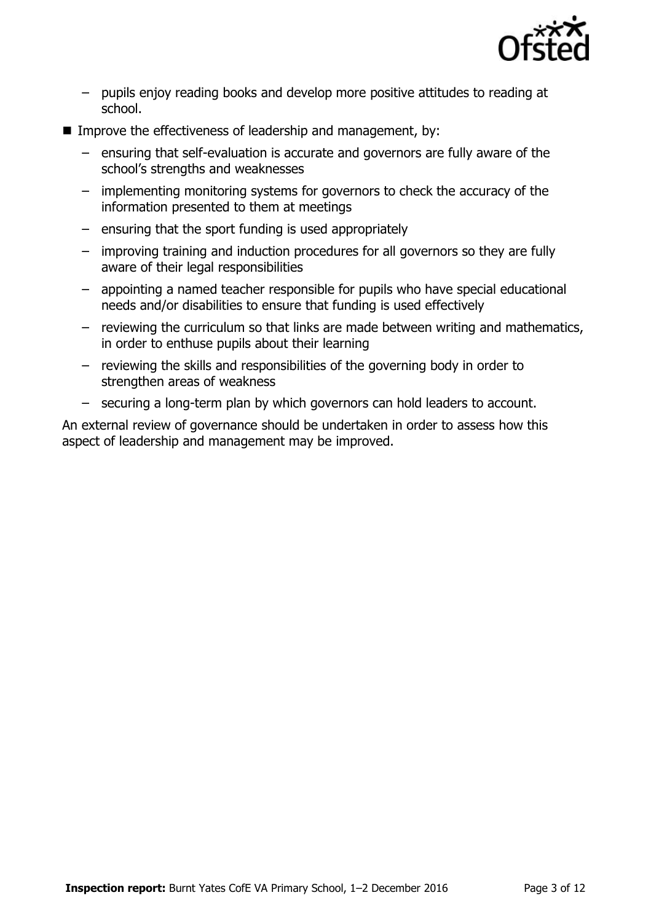

- pupils enjoy reading books and develop more positive attitudes to reading at school.
- Improve the effectiveness of leadership and management, by:
	- ensuring that self-evaluation is accurate and governors are fully aware of the school's strengths and weaknesses
	- implementing monitoring systems for governors to check the accuracy of the information presented to them at meetings
	- ensuring that the sport funding is used appropriately
	- improving training and induction procedures for all governors so they are fully aware of their legal responsibilities
	- appointing a named teacher responsible for pupils who have special educational needs and/or disabilities to ensure that funding is used effectively
	- reviewing the curriculum so that links are made between writing and mathematics, in order to enthuse pupils about their learning
	- reviewing the skills and responsibilities of the governing body in order to strengthen areas of weakness
	- securing a long-term plan by which governors can hold leaders to account.

An external review of governance should be undertaken in order to assess how this aspect of leadership and management may be improved.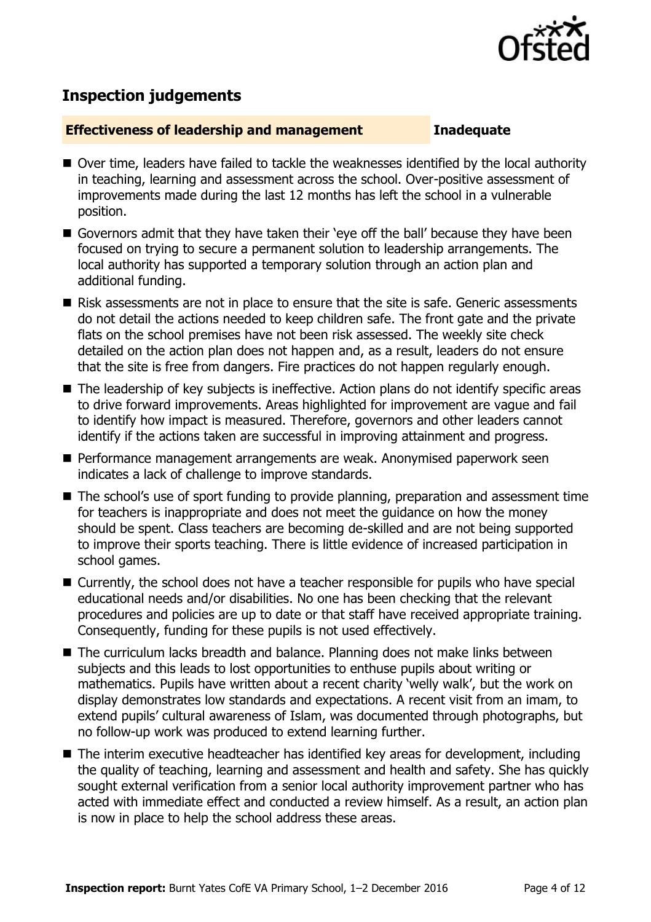

## **Inspection judgements**

### **Effectiveness of leadership and management Inadequate**

- Over time, leaders have failed to tackle the weaknesses identified by the local authority in teaching, learning and assessment across the school. Over-positive assessment of improvements made during the last 12 months has left the school in a vulnerable position.
- Governors admit that they have taken their 'eye off the ball' because they have been focused on trying to secure a permanent solution to leadership arrangements. The local authority has supported a temporary solution through an action plan and additional funding.
- Risk assessments are not in place to ensure that the site is safe. Generic assessments do not detail the actions needed to keep children safe. The front gate and the private flats on the school premises have not been risk assessed. The weekly site check detailed on the action plan does not happen and, as a result, leaders do not ensure that the site is free from dangers. Fire practices do not happen regularly enough.
- The leadership of key subjects is ineffective. Action plans do not identify specific areas to drive forward improvements. Areas highlighted for improvement are vague and fail to identify how impact is measured. Therefore, governors and other leaders cannot identify if the actions taken are successful in improving attainment and progress.
- **Performance management arrangements are weak. Anonymised paperwork seen** indicates a lack of challenge to improve standards.
- The school's use of sport funding to provide planning, preparation and assessment time for teachers is inappropriate and does not meet the guidance on how the money should be spent. Class teachers are becoming de-skilled and are not being supported to improve their sports teaching. There is little evidence of increased participation in school games.
- Currently, the school does not have a teacher responsible for pupils who have special educational needs and/or disabilities. No one has been checking that the relevant procedures and policies are up to date or that staff have received appropriate training. Consequently, funding for these pupils is not used effectively.
- The curriculum lacks breadth and balance. Planning does not make links between subjects and this leads to lost opportunities to enthuse pupils about writing or mathematics. Pupils have written about a recent charity 'welly walk', but the work on display demonstrates low standards and expectations. A recent visit from an imam, to extend pupils' cultural awareness of Islam, was documented through photographs, but no follow-up work was produced to extend learning further.
- The interim executive headteacher has identified key areas for development, including the quality of teaching, learning and assessment and health and safety. She has quickly sought external verification from a senior local authority improvement partner who has acted with immediate effect and conducted a review himself. As a result, an action plan is now in place to help the school address these areas.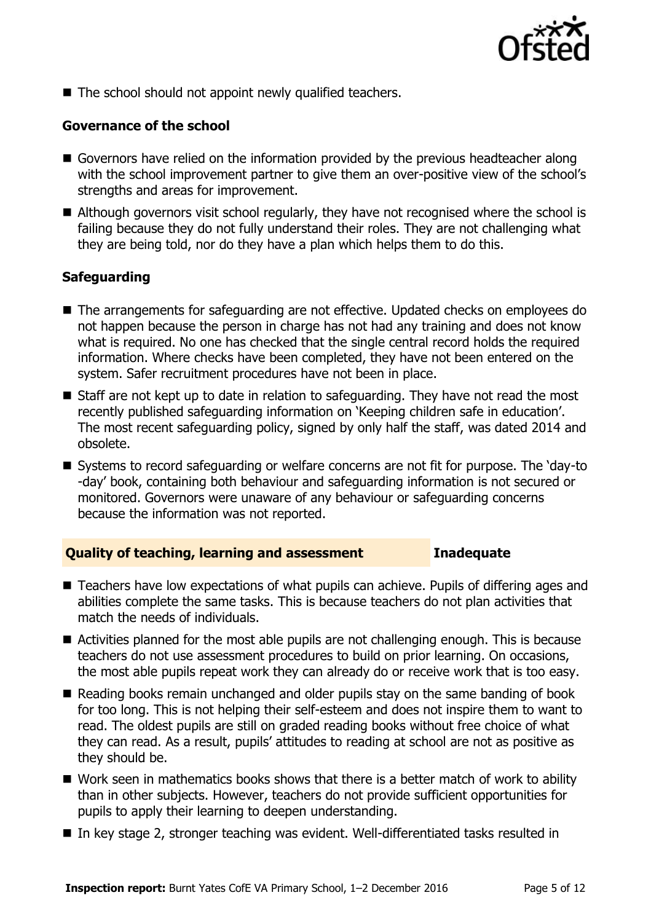

■ The school should not appoint newly qualified teachers.

### **Governance of the school**

- Governors have relied on the information provided by the previous headteacher along with the school improvement partner to give them an over-positive view of the school's strengths and areas for improvement.
- Although governors visit school regularly, they have not recognised where the school is failing because they do not fully understand their roles. They are not challenging what they are being told, nor do they have a plan which helps them to do this.

### **Safeguarding**

- The arrangements for safeguarding are not effective. Updated checks on employees do not happen because the person in charge has not had any training and does not know what is required. No one has checked that the single central record holds the required information. Where checks have been completed, they have not been entered on the system. Safer recruitment procedures have not been in place.
- Staff are not kept up to date in relation to safeguarding. They have not read the most recently published safeguarding information on 'Keeping children safe in education'. The most recent safeguarding policy, signed by only half the staff, was dated 2014 and obsolete.
- Systems to record safeguarding or welfare concerns are not fit for purpose. The 'day-to -day' book, containing both behaviour and safeguarding information is not secured or monitored. Governors were unaware of any behaviour or safeguarding concerns because the information was not reported.

### **Quality of teaching, learning and assessment Inadequate**

- Teachers have low expectations of what pupils can achieve. Pupils of differing ages and abilities complete the same tasks. This is because teachers do not plan activities that match the needs of individuals.
- Activities planned for the most able pupils are not challenging enough. This is because teachers do not use assessment procedures to build on prior learning. On occasions, the most able pupils repeat work they can already do or receive work that is too easy.
- Reading books remain unchanged and older pupils stay on the same banding of book for too long. This is not helping their self-esteem and does not inspire them to want to read. The oldest pupils are still on graded reading books without free choice of what they can read. As a result, pupils' attitudes to reading at school are not as positive as they should be.
- Work seen in mathematics books shows that there is a better match of work to ability than in other subjects. However, teachers do not provide sufficient opportunities for pupils to apply their learning to deepen understanding.
- In key stage 2, stronger teaching was evident. Well-differentiated tasks resulted in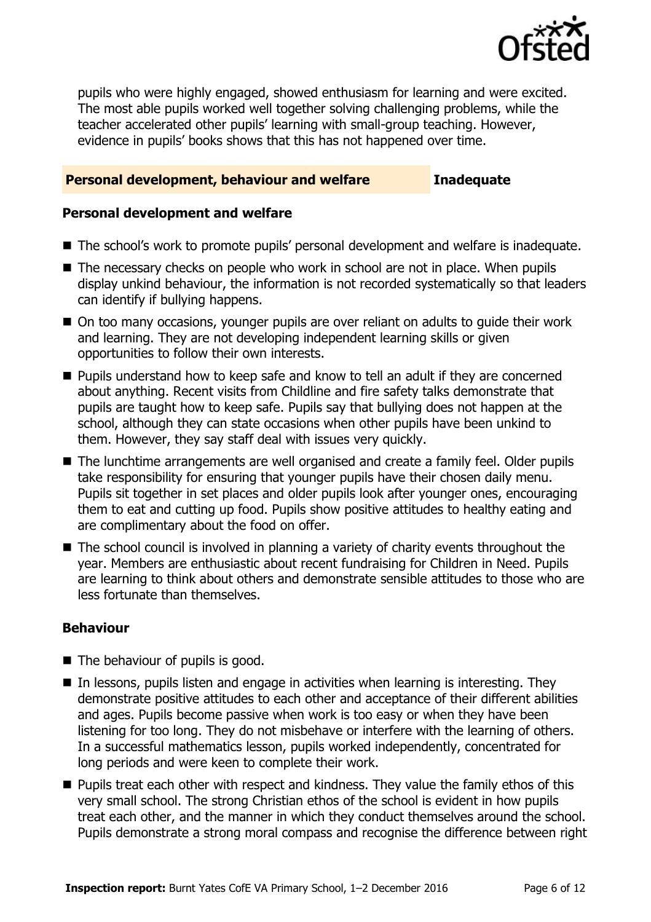

pupils who were highly engaged, showed enthusiasm for learning and were excited. The most able pupils worked well together solving challenging problems, while the teacher accelerated other pupils' learning with small-group teaching. However, evidence in pupils' books shows that this has not happened over time.

### **Personal development, behaviour and welfare Inadequate**

### **Personal development and welfare**

- The school's work to promote pupils' personal development and welfare is inadequate.
- The necessary checks on people who work in school are not in place. When pupils display unkind behaviour, the information is not recorded systematically so that leaders can identify if bullying happens.
- On too many occasions, younger pupils are over reliant on adults to guide their work and learning. They are not developing independent learning skills or given opportunities to follow their own interests.
- Pupils understand how to keep safe and know to tell an adult if they are concerned about anything. Recent visits from Childline and fire safety talks demonstrate that pupils are taught how to keep safe. Pupils say that bullying does not happen at the school, although they can state occasions when other pupils have been unkind to them. However, they say staff deal with issues very quickly.
- The lunchtime arrangements are well organised and create a family feel. Older pupils take responsibility for ensuring that younger pupils have their chosen daily menu. Pupils sit together in set places and older pupils look after younger ones, encouraging them to eat and cutting up food. Pupils show positive attitudes to healthy eating and are complimentary about the food on offer.
- The school council is involved in planning a variety of charity events throughout the year. Members are enthusiastic about recent fundraising for Children in Need. Pupils are learning to think about others and demonstrate sensible attitudes to those who are less fortunate than themselves.

### **Behaviour**

- The behaviour of pupils is good.
- $\blacksquare$  In lessons, pupils listen and engage in activities when learning is interesting. They demonstrate positive attitudes to each other and acceptance of their different abilities and ages. Pupils become passive when work is too easy or when they have been listening for too long. They do not misbehave or interfere with the learning of others. In a successful mathematics lesson, pupils worked independently, concentrated for long periods and were keen to complete their work.
- **Pupils treat each other with respect and kindness. They value the family ethos of this** very small school. The strong Christian ethos of the school is evident in how pupils treat each other, and the manner in which they conduct themselves around the school. Pupils demonstrate a strong moral compass and recognise the difference between right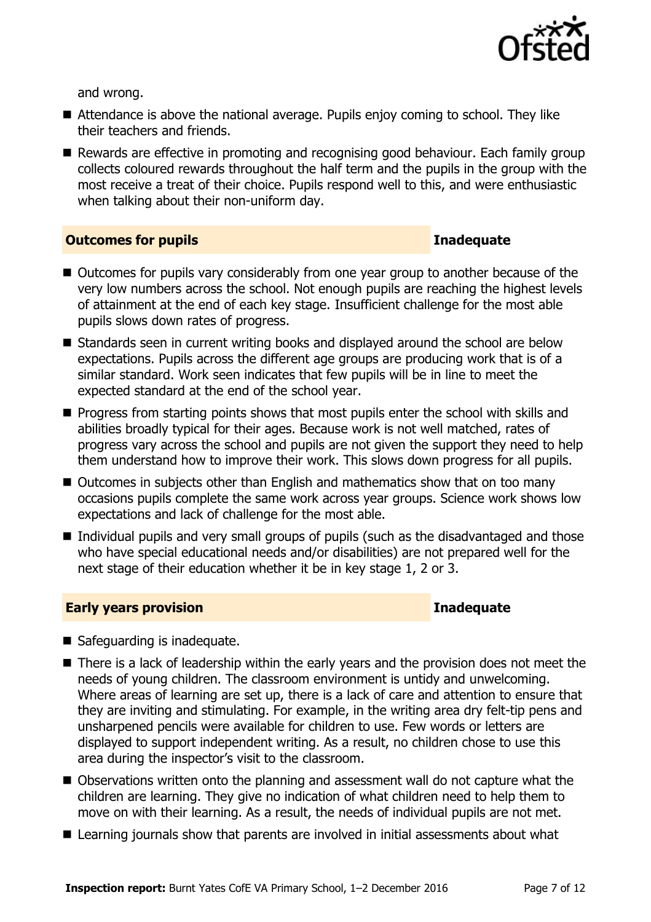

and wrong.

- Attendance is above the national average. Pupils enjoy coming to school. They like their teachers and friends.
- Rewards are effective in promoting and recognising good behaviour. Each family group collects coloured rewards throughout the half term and the pupils in the group with the most receive a treat of their choice. Pupils respond well to this, and were enthusiastic when talking about their non-uniform day.

### **Outcomes for pupils Inadequate**

- Outcomes for pupils vary considerably from one year group to another because of the very low numbers across the school. Not enough pupils are reaching the highest levels of attainment at the end of each key stage. Insufficient challenge for the most able pupils slows down rates of progress.
- Standards seen in current writing books and displayed around the school are below expectations. Pupils across the different age groups are producing work that is of a similar standard. Work seen indicates that few pupils will be in line to meet the expected standard at the end of the school year.
- **Progress from starting points shows that most pupils enter the school with skills and** abilities broadly typical for their ages. Because work is not well matched, rates of progress vary across the school and pupils are not given the support they need to help them understand how to improve their work. This slows down progress for all pupils.
- Outcomes in subjects other than English and mathematics show that on too many occasions pupils complete the same work across year groups. Science work shows low expectations and lack of challenge for the most able.
- Individual pupils and very small groups of pupils (such as the disadvantaged and those who have special educational needs and/or disabilities) are not prepared well for the next stage of their education whether it be in key stage 1, 2 or 3.

### **Early years provision Inadequate**

- Safeguarding is inadequate.
- There is a lack of leadership within the early years and the provision does not meet the needs of young children. The classroom environment is untidy and unwelcoming. Where areas of learning are set up, there is a lack of care and attention to ensure that they are inviting and stimulating. For example, in the writing area dry felt-tip pens and unsharpened pencils were available for children to use. Few words or letters are displayed to support independent writing. As a result, no children chose to use this area during the inspector's visit to the classroom.
- Observations written onto the planning and assessment wall do not capture what the children are learning. They give no indication of what children need to help them to move on with their learning. As a result, the needs of individual pupils are not met.
- Learning journals show that parents are involved in initial assessments about what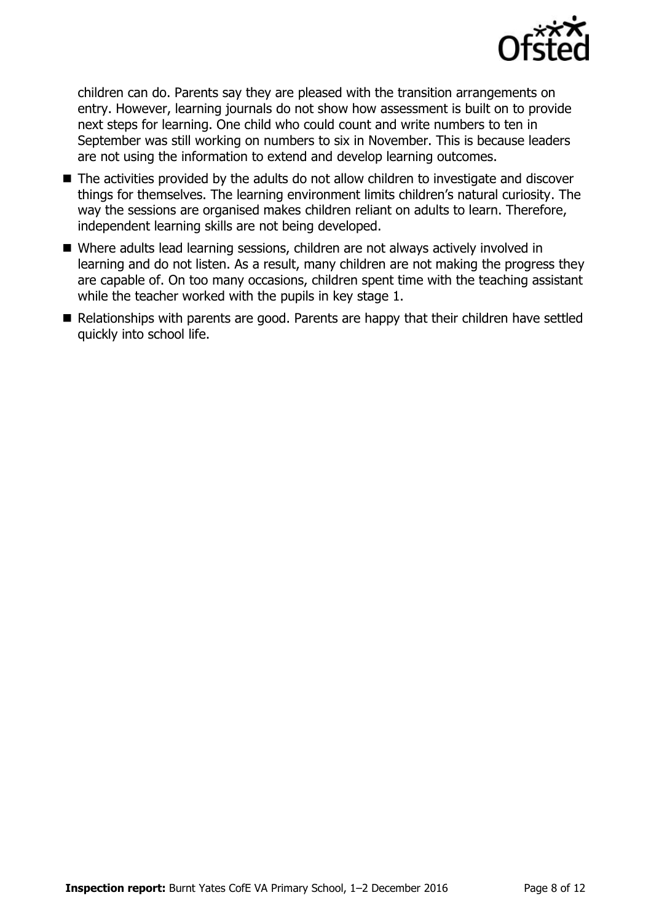

children can do. Parents say they are pleased with the transition arrangements on entry. However, learning journals do not show how assessment is built on to provide next steps for learning. One child who could count and write numbers to ten in September was still working on numbers to six in November. This is because leaders are not using the information to extend and develop learning outcomes.

- The activities provided by the adults do not allow children to investigate and discover things for themselves. The learning environment limits children's natural curiosity. The way the sessions are organised makes children reliant on adults to learn. Therefore, independent learning skills are not being developed.
- Where adults lead learning sessions, children are not always actively involved in learning and do not listen. As a result, many children are not making the progress they are capable of. On too many occasions, children spent time with the teaching assistant while the teacher worked with the pupils in key stage 1.
- Relationships with parents are good. Parents are happy that their children have settled quickly into school life.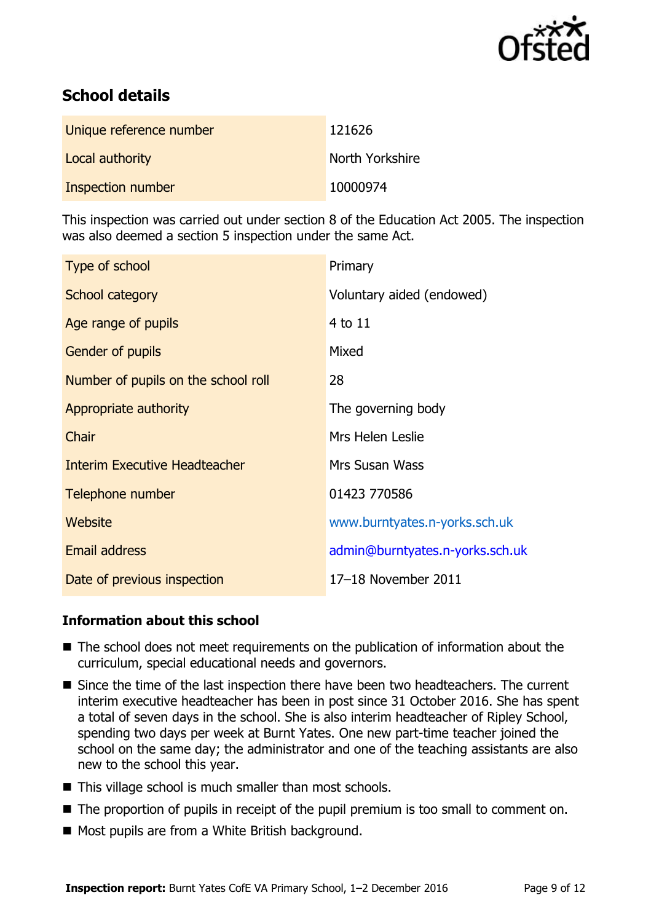

# **School details**

| Unique reference number | 121626          |
|-------------------------|-----------------|
| Local authority         | North Yorkshire |
| Inspection number       | 10000974        |

This inspection was carried out under section 8 of the Education Act 2005. The inspection was also deemed a section 5 inspection under the same Act.

| Type of school                       | Primary                         |
|--------------------------------------|---------------------------------|
| School category                      | Voluntary aided (endowed)       |
| Age range of pupils                  | 4 to 11                         |
| <b>Gender of pupils</b>              | Mixed                           |
| Number of pupils on the school roll  | 28                              |
| Appropriate authority                | The governing body              |
| Chair                                | Mrs Helen Leslie                |
| <b>Interim Executive Headteacher</b> | <b>Mrs Susan Wass</b>           |
| Telephone number                     | 01423 770586                    |
| Website                              | www.burntyates.n-yorks.sch.uk   |
| Email address                        | admin@burntyates.n-yorks.sch.uk |
| Date of previous inspection          | 17-18 November 2011             |

### **Information about this school**

- The school does not meet requirements on the publication of information about the curriculum, special educational needs and governors.
- Since the time of the last inspection there have been two headteachers. The current interim executive headteacher has been in post since 31 October 2016. She has spent a total of seven days in the school. She is also interim headteacher of Ripley School, spending two days per week at Burnt Yates. One new part-time teacher joined the school on the same day; the administrator and one of the teaching assistants are also new to the school this year.
- $\blacksquare$  This village school is much smaller than most schools.
- The proportion of pupils in receipt of the pupil premium is too small to comment on.
- Most pupils are from a White British background.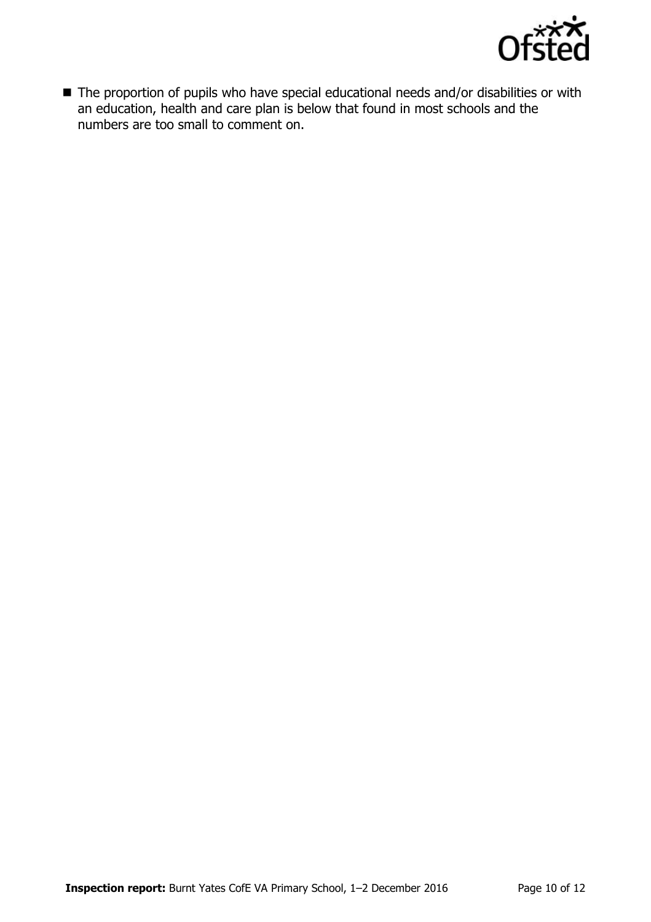

■ The proportion of pupils who have special educational needs and/or disabilities or with an education, health and care plan is below that found in most schools and the numbers are too small to comment on.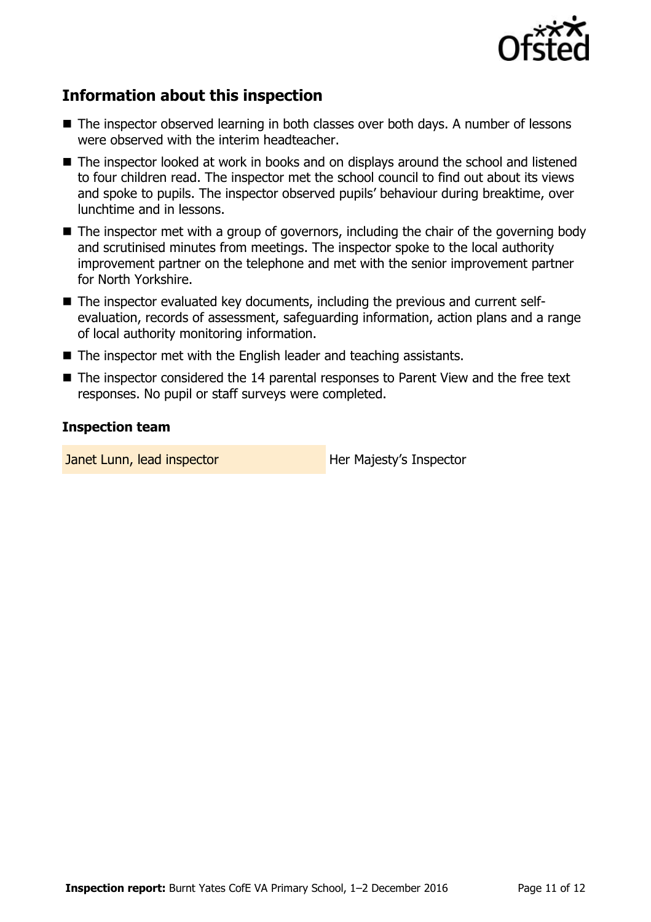

# **Information about this inspection**

- The inspector observed learning in both classes over both days. A number of lessons were observed with the interim headteacher.
- The inspector looked at work in books and on displays around the school and listened to four children read. The inspector met the school council to find out about its views and spoke to pupils. The inspector observed pupils' behaviour during breaktime, over lunchtime and in lessons.
- The inspector met with a group of governors, including the chair of the governing body and scrutinised minutes from meetings. The inspector spoke to the local authority improvement partner on the telephone and met with the senior improvement partner for North Yorkshire.
- The inspector evaluated key documents, including the previous and current selfevaluation, records of assessment, safeguarding information, action plans and a range of local authority monitoring information.
- The inspector met with the English leader and teaching assistants.
- The inspector considered the 14 parental responses to Parent View and the free text responses. No pupil or staff surveys were completed.

### **Inspection team**

Janet Lunn, lead inspector **Her Majesty's Inspector**